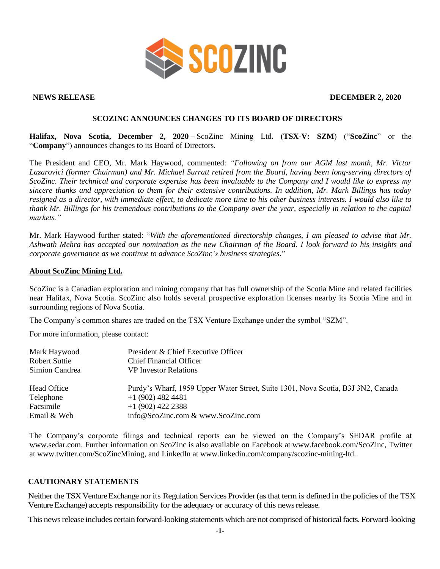

## **NEWS RELEASE DECEMBER 2, 2020**

# **SCOZINC ANNOUNCES CHANGES TO ITS BOARD OF DIRECTORS**

**Halifax, Nova Scotia, December 2, 2020 –** ScoZinc Mining Ltd. (**TSX-V: SZM**) ("**ScoZinc**" or the "**Company**") announces changes to its Board of Directors.

The President and CEO, Mr. Mark Haywood, commented: *"Following on from our AGM last month, Mr. Victor Lazarovici (former Chairman) and Mr. Michael Surratt retired from the Board, having been long-serving directors of ScoZinc. Their technical and corporate expertise has been invaluable to the Company and I would like to express my sincere thanks and appreciation to them for their extensive contributions. In addition, Mr. Mark Billings has today resigned as a director, with immediate effect, to dedicate more time to his other business interests. I would also like to thank Mr. Billings for his tremendous contributions to the Company over the year, especially in relation to the capital markets."*

Mr. Mark Haywood further stated: "*With the aforementioned directorship changes, I am pleased to advise that Mr. Ashwath Mehra has accepted our nomination as the new Chairman of the Board. I look forward to his insights and corporate governance as we continue to advance ScoZinc's business strategies.*"

### **About ScoZinc Mining Ltd.**

ScoZinc is a Canadian exploration and mining company that has full ownership of the Scotia Mine and related facilities near Halifax, Nova Scotia. ScoZinc also holds several prospective exploration licenses nearby its Scotia Mine and in surrounding regions of Nova Scotia.

The Company's common shares are traded on the TSX Venture Exchange under the symbol "SZM".

For more information, please contact:

| Mark Haywood<br>Robert Suttie | President & Chief Executive Officer<br><b>Chief Financial Officer</b>            |
|-------------------------------|----------------------------------------------------------------------------------|
| Simion Candrea                | <b>VP</b> Investor Relations                                                     |
| Head Office                   | Purdy's Wharf, 1959 Upper Water Street, Suite 1301, Nova Scotia, B3J 3N2, Canada |
| Telephone                     | $+1$ (902) 482 4481                                                              |
| Facsimile                     | $+1(902)$ 422 2388                                                               |
| Email & Web                   | info@ScoZinc.com & www.ScoZinc.com                                               |

The Company's corporate filings and technical reports can be viewed on the Company's SEDAR profile at [www.sedar.com.](http://www.sedar.com/) Further information on ScoZinc is also available on Facebook at www.facebook.com/ScoZinc, Twitter at www.twitter.com/ScoZincMining, and LinkedIn at www.linkedin.com/company/scozinc-mining-ltd.

# **CAUTIONARY STATEMENTS**

Neither the TSX Venture Exchange nor its Regulation Services Provider (as that term is defined in the policies of the TSX Venture Exchange) accepts responsibility for the adequacy or accuracy of this newsrelease.

This news release includes certain forward-looking statements which are not comprised of historical facts. Forward-looking